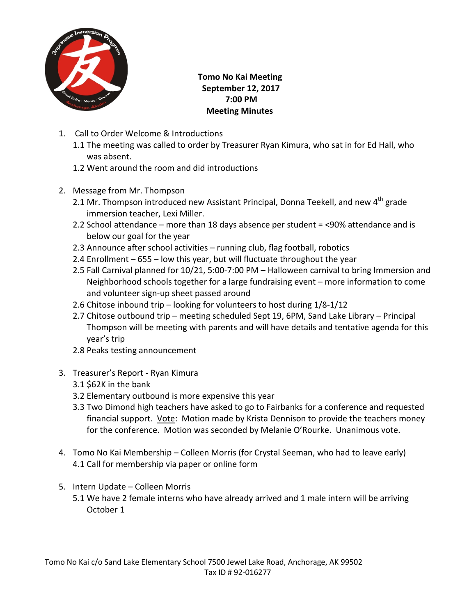

 **Tomo No Kai Meeting September 12, 2017 7:00 PM Meeting Minutes**

- 1. Call to Order Welcome & Introductions
	- 1.1 The meeting was called to order by Treasurer Ryan Kimura, who sat in for Ed Hall, who was absent.
	- 1.2 Went around the room and did introductions
- 2. Message from Mr. Thompson
	- 2.1 Mr. Thompson introduced new Assistant Principal, Donna Teekell, and new 4<sup>th</sup> grade immersion teacher, Lexi Miller.
	- 2.2 School attendance more than 18 days absence per student = <90% attendance and is below our goal for the year
	- 2.3 Announce after school activities running club, flag football, robotics
	- 2.4 Enrollment 655 low this year, but will fluctuate throughout the year
	- 2.5 Fall Carnival planned for 10/21, 5:00-7:00 PM Halloween carnival to bring Immersion and Neighborhood schools together for a large fundraising event – more information to come and volunteer sign-up sheet passed around
	- 2.6 Chitose inbound trip looking for volunteers to host during 1/8-1/12
	- 2.7 Chitose outbound trip meeting scheduled Sept 19, 6PM, Sand Lake Library Principal Thompson will be meeting with parents and will have details and tentative agenda for this year's trip
	- 2.8 Peaks testing announcement
- 3. Treasurer's Report Ryan Kimura
	- 3.1 \$62K in the bank
	- 3.2 Elementary outbound is more expensive this year
	- 3.3 Two Dimond high teachers have asked to go to Fairbanks for a conference and requested financial support. Vote: Motion made by Krista Dennison to provide the teachers money for the conference. Motion was seconded by Melanie O'Rourke. Unanimous vote.
- 4. Tomo No Kai Membership Colleen Morris (for Crystal Seeman, who had to leave early) 4.1 Call for membership via paper or online form
- 5. Intern Update Colleen Morris
	- 5.1 We have 2 female interns who have already arrived and 1 male intern will be arriving October 1